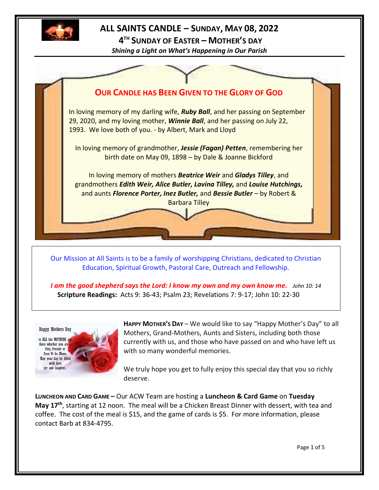

# **ALL SAINTS CANDLE – SUNDAY, MAY 08, 2022**

**4 TH SUNDAY OF EASTER – MOTHER'S DAY**

*Shining a Light on What's Happening in Our Parish*



Our Mission at All Saints is to be a family of worshipping Christians, dedicated to Christian Education, Spiritual Growth, Pastoral Care, Outreach and Fellowship.

*I am the good shepherd says the Lord: I know my own and my own know me.**John 10: 14* **Scripture Readings:** Acts 9: 36-43; Psalm 23; Revelations 7: 9-17; John 10: 22-30



**HAPPY MOTHER'S DAY** – We would like to say "Happy Mother's Day" to all Mothers, Grand-Mothers, Aunts and Sisters, including both those currently with us, and those who have passed on and who have left us with so many wonderful memories.

We truly hope you get to fully enjoy this special day that you so richly deserve.

**LUNCHEON AND CARD GAME –** Our ACW Team are hosting a **Luncheon & Card Game** on **Tuesday May 17th** , starting at 12 noon. The meal will be a Chicken Breast Dinner with dessert, with tea and coffee. The cost of the meal is \$15, and the game of cards is \$5. For more information, please contact Barb at 834-4795.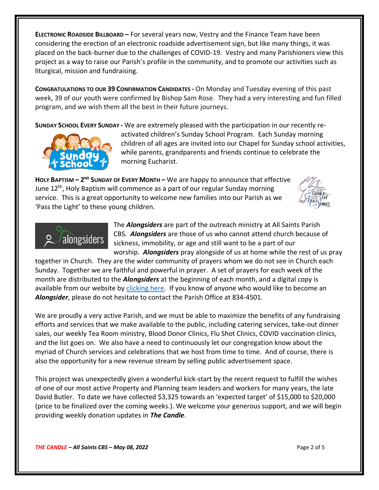**ELECTRONIC ROADSIDE BILLBOARD –** For several years now, Vestry and the Finance Team have been considering the erection of an electronic roadside advertisement sign, but like many things, it was placed on the back-burner due to the challenges of COVID-19. Vestry and many Parishioners view this project as a way to raise our Parish's profile in the community, and to promote our activities such as liturgical, mission and fundraising.

**CONGRATULATIONS TO OUR 39 CONFIRMATION CANDIDATES -** On Monday and Tuesday evening of this past week, 39 of our youth were confirmed by Bishop Sam Rose. They had a very interesting and fun filled program, and we wish them all the best in their future journeys.

**SUNDAY SCHOOL EVERY SUNDAY -** We are extremely pleased with the participation in our recently re-



activated children's Sunday School Program. Each Sunday morning children of all ages are invited into our Chapel for Sunday school activities, while parents, grandparents and friends continue to celebrate the morning Eucharist.

**HOLY BAPTISM – 2 ND SUNDAY OF EVERY MONTH –** We are happy to announce that effective June 12<sup>th</sup>, Holy Baptism will commence as a part of our regular Sunday morning service. This is a great opportunity to welcome new families into our Parish as we 'Pass the Light' to these young children.





The *Alongsiders* are part of the outreach ministry at All Saints Parish CBS. *Alongsiders* are those of us who cannot attend church because of sickness, immobility, or age and still want to be a part of our worship. *Alongsiders* pray alongside of us at home while the rest of us pray

together in Church. They are the wider community of prayers whom we do not see in Church each Sunday. Together we are faithful and powerful in prayer. A set of prayers for each week of the month are distributed to the *Alongsiders* at the beginning of each month, and a digital copy is available from our website by [clicking here.](http://allsaintsparish.ca/community-organizations#Alongsinders) If you know of anyone who would like to become an *Alongsider*, please do not hesitate to contact the Parish Office at 834-4501.

We are proudly a very active Parish, and we must be able to maximize the benefits of any fundraising efforts and services that we make available to the public, including catering services, take-out dinner sales, our weekly Tea Room ministry, Blood Donor Clinics, Flu Shot Clinics, COVID vaccination clinics, and the list goes on. We also have a need to continuously let our congregation know about the myriad of Church services and celebrations that we host from time to time. And of course, there is also the opportunity for a new revenue stream by selling public advertisement space.

This project was unexpectedly given a wonderful kick-start by the recent request to fulfill the wishes of one of our most active Property and Planning team leaders and workers for many years, the late David Butler. To date we have collected \$3,325 towards an 'expected target' of \$15,000 to \$20,000 (price to be finalized over the coming weeks.). We welcome your generous support, and we will begin providing weekly donation updates in *The Candle*.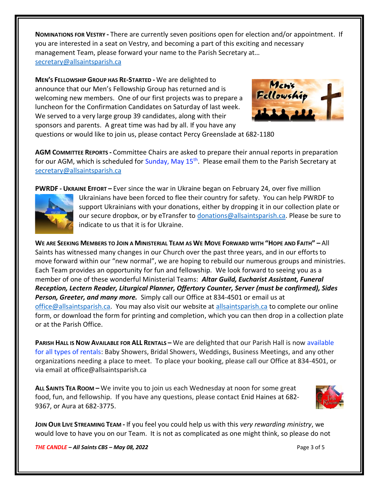**NOMINATIONS FOR VESTRY -** There are currently seven positions open for election and/or appointment. If you are interested in a seat on Vestry, and becoming a part of this exciting and necessary management Team, please forward your name to the Parish Secretary at… [secretary@allsaintsparish.ca](mailto:Nominations%20for%20Vestry%20%20There%20are%20currently%207%20positions%20open%20for%20election.%20%20If%20you%20are%20interested%20in%20a%20seat%20on%20Vestry,%20and%20being%20a%20part%20of%20this%20exciting%20management%20Team,%20please%20forward%20your%20name%20to%20the%20Parish%20Secretary%20at…%20secretary@allsaintsparish.ca%20%20?subject=Nominations%20for%20Vestry)

**MEN'S FELLOWSHIP GROUP HAS RE-STARTED -** We are delighted to announce that our Men's Fellowship Group has returned and is welcoming new members. One of our first projects was to prepare a luncheon for the Confirmation Candidates on Saturday of last week. We served to a very large group 39 candidates, along with their sponsors and parents. A great time was had by all. If you have any



questions or would like to join us, please contact Percy Greenslade at 682-1180

**AGM COMMITTEE REPORTS -** Committee Chairs are asked to prepare their annual reports in preparation for our AGM, which is scheduled for Sunday, May  $15<sup>th</sup>$ . Please email them to the Parish Secretary at [secretary@allsaintsparish.ca](mailto:Committee%20Chairs%20are%20asked%20to%20prepare%20their%20annual%20reports%20in%20preparation%20for%20our%20AGM,%20which%20is%20tentatively%20scheduled%20for%20April%2024th%20(subject%20to%20change).%20%20Please%20email%20them%20to%20the%20Parish%20Secretary%20at%20secretary@allsaintsparish.ca%20%20?subject=AGM%20Committee%20Report)

**PWRDF - UKRAINE EFFORT –** Ever since the war in Ukraine began on February 24, over five million



Ukrainians have been forced to flee their country for safety. You can help PWRDF to support Ukrainians with your donations, either by dropping it in our collection plate or our secure dropbox, or by eTransfer to [donations@allsaintsparish.ca.](mailto:donations@allsaintsparish.ca) Please be sure to indicate to us that it is for Ukraine.

WE ARE SEEKING MEMBERS TO JOIN A MINISTERIAL TEAM AS WE MOVE FORWARD WITH "HOPE AND FAITH"  $-$  All Saints has witnessed many changes in our Church over the past three years, and in our efforts to move forward within our "new normal", we are hoping to rebuild our numerous groups and ministries. Each Team provides an opportunity for fun and fellowship. We look forward to seeing you as a member of one of these wonderful Ministerial Teams: *Altar Guild, Eucharist Assistant, Funeral Reception, Lectern Reader, Liturgical Planner, Offertory Counter, Server (must be confirmed), Sides Person, Greeter, and many more.* Simply call our Office at 834-4501 or email us at [office@allsaintsparish.ca.](mailto:office@allsaintsparish.ca) You may also visit our website at [allsaintsparish.ca](/Users/ralphfagan/Documents/All%20Saints%20Parish/Candle/ASP%202022%20Candle/allsaintsparish.ca) to complete our online form, or download the form for printing and completion, which you can then drop in a collection plate or at the Parish Office.

**PARISH HALL IS NOW AVAILABLE FOR ALL RENTALS –** We are delighted that our Parish Hall is now available for all types of rentals: Baby Showers, Bridal Showers, Weddings, Business Meetings, and any other organizations needing a place to meet. To place your booking, please call our Office at 834-4501, or via email at office@allsaintsparish.ca

**ALL SAINTS TEA ROOM –** We invite you to join us each Wednesday at noon for some great food, fun, and fellowship. If you have any questions, please contact Enid Haines at 682- 9367, or Aura at 682-3775.



**JOIN OUR LIVE STREAMING TEAM -** If you feel you could help us with this *very rewarding ministry*, we would love to have you on our Team. It is not as complicated as one might think, so please do not

*THE CANDLE – All Saints CBS – May 08, 2022* Page 3 of 5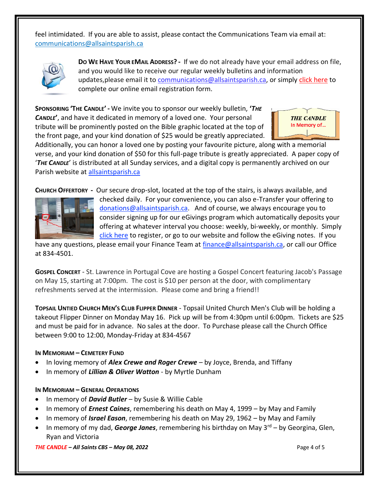feel intimidated. If you are able to assist, please contact the Communications Team via email at: [communications@allsaintsparish.ca](mailto:communications@allsaintsparish.ca?subject=Live%20Streaming%20Team) 



**DO WE HAVE YOUR EMAIL ADDRESS? -** If we do not already have your email address on file, and you would like to receive our regular weekly bulletins and information updates, please email it to [communications@allsaintsparish.ca,](mailto:communications@allsaintsparish.ca?subject=eMail%20Address%20Update) or simply [click here](http://allsaintsparish.ca/email_updates) to complete our online email registration form.

**SPONSORING 'THE CANDLE' -** We invite you to sponsor our weekly bulletin, **'***THE CANDLE***'**, and have it dedicated in memory of a loved one. Your personal tribute will be prominently posted on the Bible graphic located at the top of the front page, and your kind donation of \$25 would be greatly appreciated.



Additionally, you can honor a loved one by posting your favourite picture, along with a memorial verse, and your kind donation of \$50 for this full-page tribute is greatly appreciated. A paper copy of '*THE CANDLE*' is distributed at all Sunday services, and a digital copy is permanently archived on our Parish website at [allsaintsparish.ca](http://allsaintsparish.ca/thecandle.html)

**CHURCH OFFERTORY -** Our secure drop-slot, located at the top of the stairs, is always available, and



checked daily. For your convenience, you can also e-Transfer your offering to [donations@allsaintsparish.ca.](mailto:donations@allsaintsparish.ca) And of course, we always encourage you to consider signing up for our eGivings program which automatically deposits your offering at whatever interval you choose: weekly, bi-weekly, or monthly. Simply [click here](http://allsaintsparish.ca/egiving-online-information-form) to register, or go to our website and follow the eGiving notes. If you

have [any](https://wfsites-to.websitecreatorprotool.com/870a5dd5.com/Admin/%7BSK_NODEID__22939341__SK%7D) questions, please email your Finance Team at [finance@allsaintsparish.ca,](mailto:finance@allsaintsparish.ca) or call our Office at 834-4501.

**GOSPEL CONCERT** - St. Lawrence in Portugal Cove are hosting a Gospel Concert featuring Jacob's Passage on May 15, starting at 7:00pm. The cost is \$10 per person at the door, with complimentary refreshments served at the intermission. Please come and bring a friend!!

**TOPSAIL UNTIED CHURCH MEN'S CLUB FLIPPER DINNER** - Topsail United Church Men's Club will be holding a takeout Flipper Dinner on Monday May 16. Pick up will be from 4:30pm until 6:00pm. Tickets are \$25 and must be paid for in advance. No sales at the door. To Purchase please call the Church Office between 9:00 to 12:00, Monday-Friday at 834-4567

# **IN MEMORIAM – CEMETERY FUND**

- In loving memory of *Alex Crewe and Roger Crewe* by Joyce, Brenda, and Tiffany
- In memory of *Lillian & Oliver Watton* by Myrtle Dunham

# **IN MEMORIAM – GENERAL OPERATIONS**

- In memory of *David Butler* by Susie & Willie Cable
- In memory of *Ernest Caines*, remembering his death on May 4, 1999 by May and Family
- In memory of *Israel Eason*, remembering his death on May 29, 1962 by May and Family
- In memory of my dad, *George Janes*, remembering his birthday on May 3rd by Georgina, Glen, Ryan and Victoria

### *THE CANDLE – All Saints CBS – May 08, 2022* Page 4 of 5